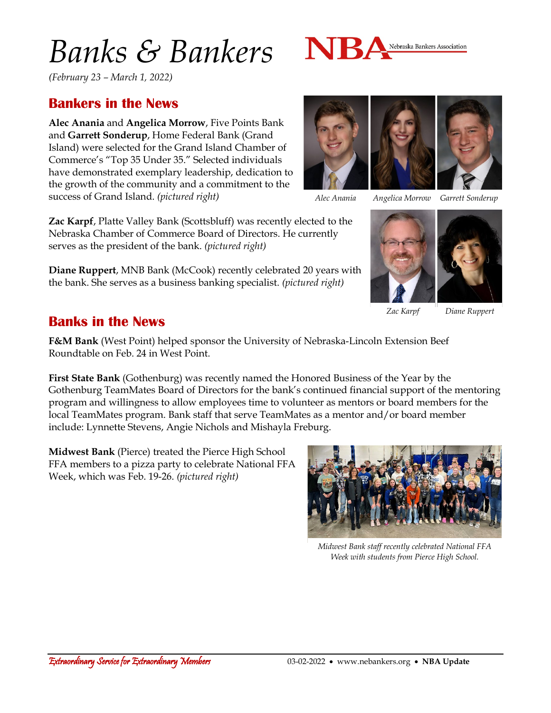# *Banks & Bankers*



*(February 23 – March 1, 2022)*

### **Bankers in the News**

**Alec Anania** and **Angelica Morrow**, Five Points Bank and **Garrett Sonderup**, Home Federal Bank (Grand Island) were selected for the Grand Island Chamber of Commerce's "Top 35 Under 35." Selected individuals have demonstrated exemplary leadership, dedication to the growth of the community and a commitment to the success of Grand Island. *(pictured right)*

**Zac Karpf**, Platte Valley Bank (Scottsbluff) was recently elected to the Nebraska Chamber of Commerce Board of Directors. He currently serves as the president of the bank. *(pictured right)*

**Diane Ruppert**, MNB Bank (McCook) recently celebrated 20 years with the bank. She serves as a business banking specialist. *(pictured right)*





*Alec Anania Angelica Morrow Garrett Sonderup*



*Zac Karpf Diane Ruppert*

### **Banks in the News**

**F&M Bank** (West Point) helped sponsor the University of Nebraska-Lincoln Extension Beef Roundtable on Feb. 24 in West Point.

**First State Bank** (Gothenburg) was recently named the Honored Business of the Year by the Gothenburg TeamMates Board of Directors for the bank's continued financial support of the mentoring program and willingness to allow employees time to volunteer as mentors or board members for the local TeamMates program. Bank staff that serve TeamMates as a mentor and/or board member include: Lynnette Stevens, Angie Nichols and Mishayla Freburg.

**Midwest Bank** (Pierce) treated the Pierce High School FFA members to a pizza party to celebrate National FFA Week, which was Feb. 19-26. *(pictured right)*



*Midwest Bank staff recently celebrated National FFA Week with students from Pierce High School.*